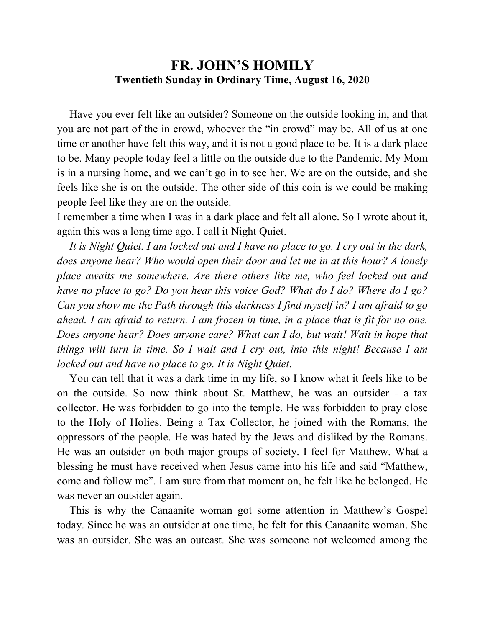## **FR. JOHN'S HOMILY Twentieth Sunday in Ordinary Time, August 16, 2020**

 Have you ever felt like an outsider? Someone on the outside looking in, and that you are not part of the in crowd, whoever the "in crowd" may be. All of us at one time or another have felt this way, and it is not a good place to be. It is a dark place to be. Many people today feel a little on the outside due to the Pandemic. My Mom is in a nursing home, and we can't go in to see her. We are on the outside, and she feels like she is on the outside. The other side of this coin is we could be making people feel like they are on the outside.

I remember a time when I was in a dark place and felt all alone. So I wrote about it, again this was a long time ago. I call it Night Quiet.

 *It is Night Quiet. I am locked out and I have no place to go. I cry out in the dark, does anyone hear? Who would open their door and let me in at this hour? A lonely place awaits me somewhere. Are there others like me, who feel locked out and have no place to go? Do you hear this voice God? What do I do? Where do I go? Can you show me the Path through this darkness I find myself in? I am afraid to go ahead. I am afraid to return. I am frozen in time, in a place that is fit for no one. Does anyone hear? Does anyone care? What can I do, but wait! Wait in hope that things will turn in time. So I wait and I cry out, into this night! Because I am locked out and have no place to go. It is Night Quiet*.

 You can tell that it was a dark time in my life, so I know what it feels like to be on the outside. So now think about St. Matthew, he was an outsider - a tax collector. He was forbidden to go into the temple. He was forbidden to pray close to the Holy of Holies. Being a Tax Collector, he joined with the Romans, the oppressors of the people. He was hated by the Jews and disliked by the Romans. He was an outsider on both major groups of society. I feel for Matthew. What a blessing he must have received when Jesus came into his life and said "Matthew, come and follow me". I am sure from that moment on, he felt like he belonged. He was never an outsider again.

 This is why the Canaanite woman got some attention in Matthew's Gospel today. Since he was an outsider at one time, he felt for this Canaanite woman. She was an outsider. She was an outcast. She was someone not welcomed among the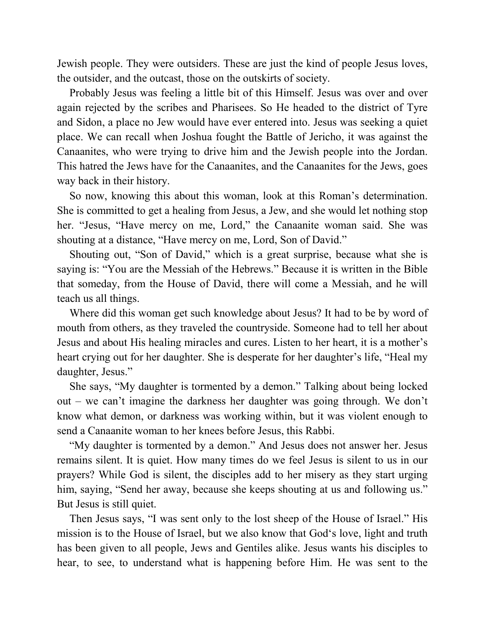Jewish people. They were outsiders. These are just the kind of people Jesus loves, the outsider, and the outcast, those on the outskirts of society.

 Probably Jesus was feeling a little bit of this Himself. Jesus was over and over again rejected by the scribes and Pharisees. So He headed to the district of Tyre and Sidon, a place no Jew would have ever entered into. Jesus was seeking a quiet place. We can recall when Joshua fought the Battle of Jericho, it was against the Canaanites, who were trying to drive him and the Jewish people into the Jordan. This hatred the Jews have for the Canaanites, and the Canaanites for the Jews, goes way back in their history.

 So now, knowing this about this woman, look at this Roman's determination. She is committed to get a healing from Jesus, a Jew, and she would let nothing stop her. "Jesus, "Have mercy on me, Lord," the Canaanite woman said. She was shouting at a distance, "Have mercy on me, Lord, Son of David."

 Shouting out, "Son of David," which is a great surprise, because what she is saying is: "You are the Messiah of the Hebrews." Because it is written in the Bible that someday, from the House of David, there will come a Messiah, and he will teach us all things.

 Where did this woman get such knowledge about Jesus? It had to be by word of mouth from others, as they traveled the countryside. Someone had to tell her about Jesus and about His healing miracles and cures. Listen to her heart, it is a mother's heart crying out for her daughter. She is desperate for her daughter's life, "Heal my daughter, Jesus."

 She says, "My daughter is tormented by a demon." Talking about being locked out – we can't imagine the darkness her daughter was going through. We don't know what demon, or darkness was working within, but it was violent enough to send a Canaanite woman to her knees before Jesus, this Rabbi.

 "My daughter is tormented by a demon." And Jesus does not answer her. Jesus remains silent. It is quiet. How many times do we feel Jesus is silent to us in our prayers? While God is silent, the disciples add to her misery as they start urging him, saying, "Send her away, because she keeps shouting at us and following us." But Jesus is still quiet.

 Then Jesus says, "I was sent only to the lost sheep of the House of Israel." His mission is to the House of Israel, but we also know that God's love, light and truth has been given to all people, Jews and Gentiles alike. Jesus wants his disciples to hear, to see, to understand what is happening before Him. He was sent to the